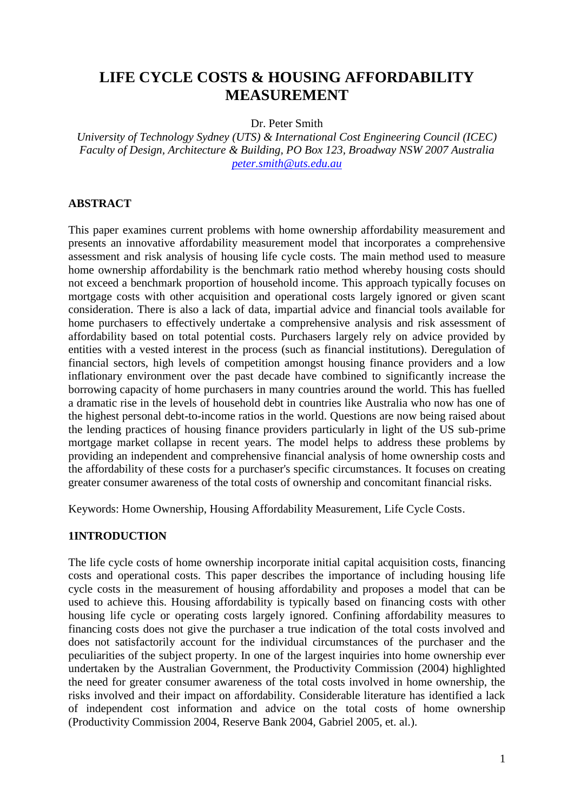# **LIFE CYCLE COSTS & HOUSING AFFORDABILITY MEASUREMENT**

Dr. Peter Smith

*University of Technology Sydney (UTS) & International Cost Engineering Council (ICEC) Faculty of Design, Architecture & Building, PO Box 123, Broadway NSW 2007 Australia [peter.smith@uts.edu.au](mailto:peter.smith@uts.edu.au)*

### **ABSTRACT**

This paper examines current problems with home ownership affordability measurement and presents an innovative affordability measurement model that incorporates a comprehensive assessment and risk analysis of housing life cycle costs. The main method used to measure home ownership affordability is the benchmark ratio method whereby housing costs should not exceed a benchmark proportion of household income. This approach typically focuses on mortgage costs with other acquisition and operational costs largely ignored or given scant consideration. There is also a lack of data, impartial advice and financial tools available for home purchasers to effectively undertake a comprehensive analysis and risk assessment of affordability based on total potential costs. Purchasers largely rely on advice provided by entities with a vested interest in the process (such as financial institutions). Deregulation of financial sectors, high levels of competition amongst housing finance providers and a low inflationary environment over the past decade have combined to significantly increase the borrowing capacity of home purchasers in many countries around the world. This has fuelled a dramatic rise in the levels of household debt in countries like Australia who now has one of the highest personal debt-to-income ratios in the world. Questions are now being raised about the lending practices of housing finance providers particularly in light of the US sub-prime mortgage market collapse in recent years. The model helps to address these problems by providing an independent and comprehensive financial analysis of home ownership costs and the affordability of these costs for a purchaser's specific circumstances. It focuses on creating greater consumer awareness of the total costs of ownership and concomitant financial risks.

Keywords: Home Ownership, Housing Affordability Measurement, Life Cycle Costs.

# **1INTRODUCTION**

The life cycle costs of home ownership incorporate initial capital acquisition costs, financing costs and operational costs. This paper describes the importance of including housing life cycle costs in the measurement of housing affordability and proposes a model that can be used to achieve this. Housing affordability is typically based on financing costs with other housing life cycle or operating costs largely ignored. Confining affordability measures to financing costs does not give the purchaser a true indication of the total costs involved and does not satisfactorily account for the individual circumstances of the purchaser and the peculiarities of the subject property. In one of the largest inquiries into home ownership ever undertaken by the Australian Government, the Productivity Commission (2004) highlighted the need for greater consumer awareness of the total costs involved in home ownership, the risks involved and their impact on affordability. Considerable literature has identified a lack of independent cost information and advice on the total costs of home ownership (Productivity Commission 2004, Reserve Bank 2004, Gabriel 2005, et. al.).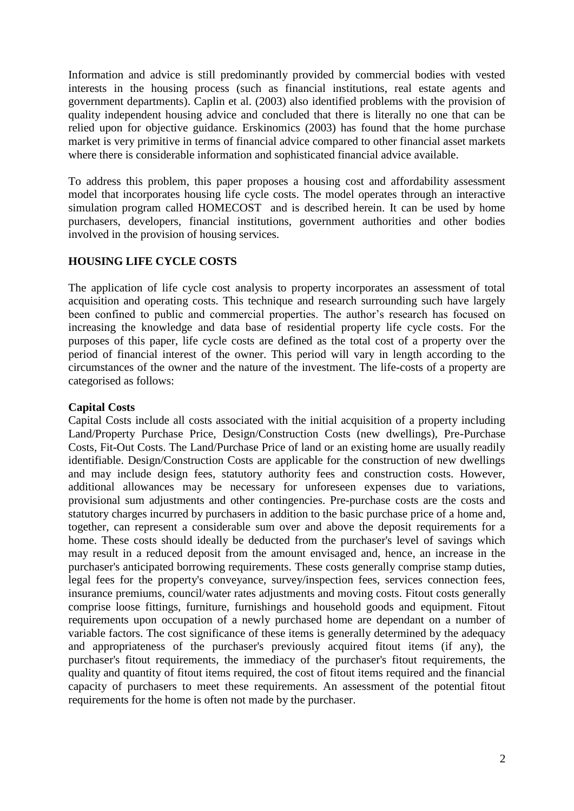Information and advice is still predominantly provided by commercial bodies with vested interests in the housing process (such as financial institutions, real estate agents and government departments). Caplin et al. (2003) also identified problems with the provision of quality independent housing advice and concluded that there is literally no one that can be relied upon for objective guidance. Erskinomics (2003) has found that the home purchase market is very primitive in terms of financial advice compared to other financial asset markets where there is considerable information and sophisticated financial advice available.

To address this problem, this paper proposes a housing cost and affordability assessment model that incorporates housing life cycle costs. The model operates through an interactive simulation program called HOMECOST and is described herein. It can be used by home purchasers, developers, financial institutions, government authorities and other bodies involved in the provision of housing services.

# **HOUSING LIFE CYCLE COSTS**

The application of life cycle cost analysis to property incorporates an assessment of total acquisition and operating costs. This technique and research surrounding such have largely been confined to public and commercial properties. The author's research has focused on increasing the knowledge and data base of residential property life cycle costs. For the purposes of this paper, life cycle costs are defined as the total cost of a property over the period of financial interest of the owner. This period will vary in length according to the circumstances of the owner and the nature of the investment. The life-costs of a property are categorised as follows:

## **Capital Costs**

Capital Costs include all costs associated with the initial acquisition of a property including Land/Property Purchase Price, Design/Construction Costs (new dwellings), Pre-Purchase Costs, Fit-Out Costs. The Land/Purchase Price of land or an existing home are usually readily identifiable. Design/Construction Costs are applicable for the construction of new dwellings and may include design fees, statutory authority fees and construction costs. However, additional allowances may be necessary for unforeseen expenses due to variations, provisional sum adjustments and other contingencies. Pre-purchase costs are the costs and statutory charges incurred by purchasers in addition to the basic purchase price of a home and, together, can represent a considerable sum over and above the deposit requirements for a home. These costs should ideally be deducted from the purchaser's level of savings which may result in a reduced deposit from the amount envisaged and, hence, an increase in the purchaser's anticipated borrowing requirements. These costs generally comprise stamp duties, legal fees for the property's conveyance, survey/inspection fees, services connection fees, insurance premiums, council/water rates adjustments and moving costs. Fitout costs generally comprise loose fittings, furniture, furnishings and household goods and equipment. Fitout requirements upon occupation of a newly purchased home are dependant on a number of variable factors. The cost significance of these items is generally determined by the adequacy and appropriateness of the purchaser's previously acquired fitout items (if any), the purchaser's fitout requirements, the immediacy of the purchaser's fitout requirements, the quality and quantity of fitout items required, the cost of fitout items required and the financial capacity of purchasers to meet these requirements. An assessment of the potential fitout requirements for the home is often not made by the purchaser.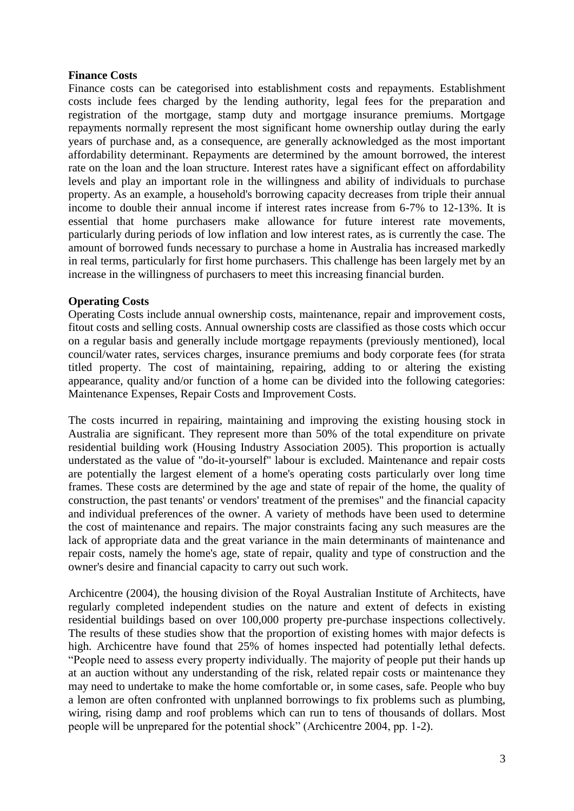### **Finance Costs**

Finance costs can be categorised into establishment costs and repayments. Establishment costs include fees charged by the lending authority, legal fees for the preparation and registration of the mortgage, stamp duty and mortgage insurance premiums. Mortgage repayments normally represent the most significant home ownership outlay during the early years of purchase and, as a consequence, are generally acknowledged as the most important affordability determinant. Repayments are determined by the amount borrowed, the interest rate on the loan and the loan structure. Interest rates have a significant effect on affordability levels and play an important role in the willingness and ability of individuals to purchase property. As an example, a household's borrowing capacity decreases from triple their annual income to double their annual income if interest rates increase from 6-7% to 12-13%. It is essential that home purchasers make allowance for future interest rate movements, particularly during periods of low inflation and low interest rates, as is currently the case. The amount of borrowed funds necessary to purchase a home in Australia has increased markedly in real terms, particularly for first home purchasers. This challenge has been largely met by an increase in the willingness of purchasers to meet this increasing financial burden.

### **Operating Costs**

Operating Costs include annual ownership costs, maintenance, repair and improvement costs, fitout costs and selling costs. Annual ownership costs are classified as those costs which occur on a regular basis and generally include mortgage repayments (previously mentioned), local council/water rates, services charges, insurance premiums and body corporate fees (for strata titled property. The cost of maintaining, repairing, adding to or altering the existing appearance, quality and/or function of a home can be divided into the following categories: Maintenance Expenses, Repair Costs and Improvement Costs.

The costs incurred in repairing, maintaining and improving the existing housing stock in Australia are significant. They represent more than 50% of the total expenditure on private residential building work (Housing Industry Association 2005). This proportion is actually understated as the value of "do-it-yourself" labour is excluded. Maintenance and repair costs are potentially the largest element of a home's operating costs particularly over long time frames. These costs are determined by the age and state of repair of the home, the quality of construction, the past tenants' or vendors' treatment of the premises" and the financial capacity and individual preferences of the owner. A variety of methods have been used to determine the cost of maintenance and repairs. The major constraints facing any such measures are the lack of appropriate data and the great variance in the main determinants of maintenance and repair costs, namely the home's age, state of repair, quality and type of construction and the owner's desire and financial capacity to carry out such work.

Archicentre (2004), the housing division of the Royal Australian Institute of Architects, have regularly completed independent studies on the nature and extent of defects in existing residential buildings based on over 100,000 property pre-purchase inspections collectively. The results of these studies show that the proportion of existing homes with major defects is high. Archicentre have found that 25% of homes inspected had potentially lethal defects. "People need to assess every property individually. The majority of people put their hands up at an auction without any understanding of the risk, related repair costs or maintenance they may need to undertake to make the home comfortable or, in some cases, safe. People who buy a lemon are often confronted with unplanned borrowings to fix problems such as plumbing, wiring, rising damp and roof problems which can run to tens of thousands of dollars. Most people will be unprepared for the potential shock" (Archicentre 2004, pp. 1-2).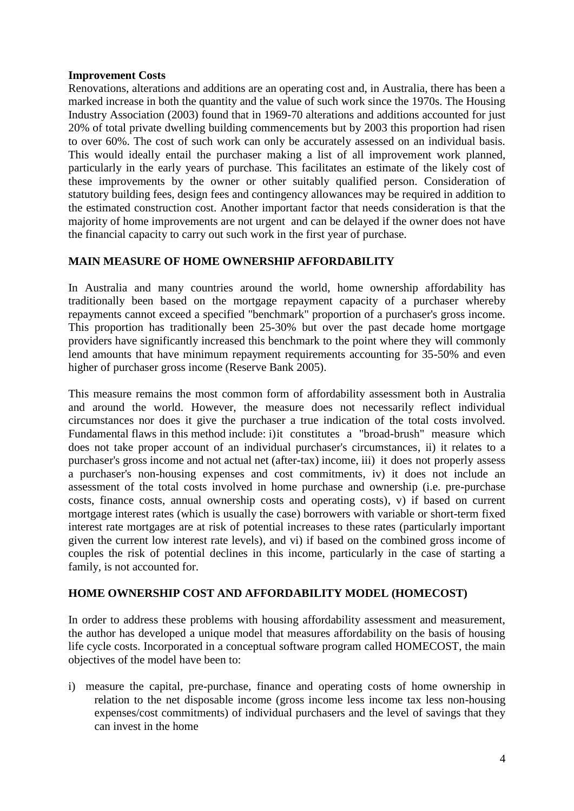### **Improvement Costs**

Renovations, alterations and additions are an operating cost and, in Australia, there has been a marked increase in both the quantity and the value of such work since the 1970s. The Housing Industry Association (2003) found that in 1969-70 alterations and additions accounted for just 20% of total private dwelling building commencements but by 2003 this proportion had risen to over 60%. The cost of such work can only be accurately assessed on an individual basis. This would ideally entail the purchaser making a list of all improvement work planned, particularly in the early years of purchase. This facilitates an estimate of the likely cost of these improvements by the owner or other suitably qualified person. Consideration of statutory building fees, design fees and contingency allowances may be required in addition to the estimated construction cost. Another important factor that needs consideration is that the majority of home improvements are not urgent and can be delayed if the owner does not have the financial capacity to carry out such work in the first year of purchase.

# **MAIN MEASURE OF HOME OWNERSHIP AFFORDABILITY**

In Australia and many countries around the world, home ownership affordability has traditionally been based on the mortgage repayment capacity of a purchaser whereby repayments cannot exceed a specified "benchmark" proportion of a purchaser's gross income. This proportion has traditionally been 25-30% but over the past decade home mortgage providers have significantly increased this benchmark to the point where they will commonly lend amounts that have minimum repayment requirements accounting for 35-50% and even higher of purchaser gross income (Reserve Bank 2005).

This measure remains the most common form of affordability assessment both in Australia and around the world. However, the measure does not necessarily reflect individual circumstances nor does it give the purchaser a true indication of the total costs involved. Fundamental flaws in this method include: i)it constitutes a "broad-brush" measure which does not take proper account of an individual purchaser's circumstances, ii) it relates to a purchaser's gross income and not actual net (after-tax) income, iii) it does not properly assess a purchaser's non-housing expenses and cost commitments, iv) it does not include an assessment of the total costs involved in home purchase and ownership (i.e. pre-purchase costs, finance costs, annual ownership costs and operating costs), v) if based on current mortgage interest rates (which is usually the case) borrowers with variable or short-term fixed interest rate mortgages are at risk of potential increases to these rates (particularly important given the current low interest rate levels), and vi) if based on the combined gross income of couples the risk of potential declines in this income, particularly in the case of starting a family, is not accounted for.

# **HOME OWNERSHIP COST AND AFFORDABILITY MODEL (HOMECOST)**

In order to address these problems with housing affordability assessment and measurement, the author has developed a unique model that measures affordability on the basis of housing life cycle costs. Incorporated in a conceptual software program called HOMECOST, the main objectives of the model have been to:

i) measure the capital, pre-purchase, finance and operating costs of home ownership in relation to the net disposable income (gross income less income tax less non-housing expenses/cost commitments) of individual purchasers and the level of savings that they can invest in the home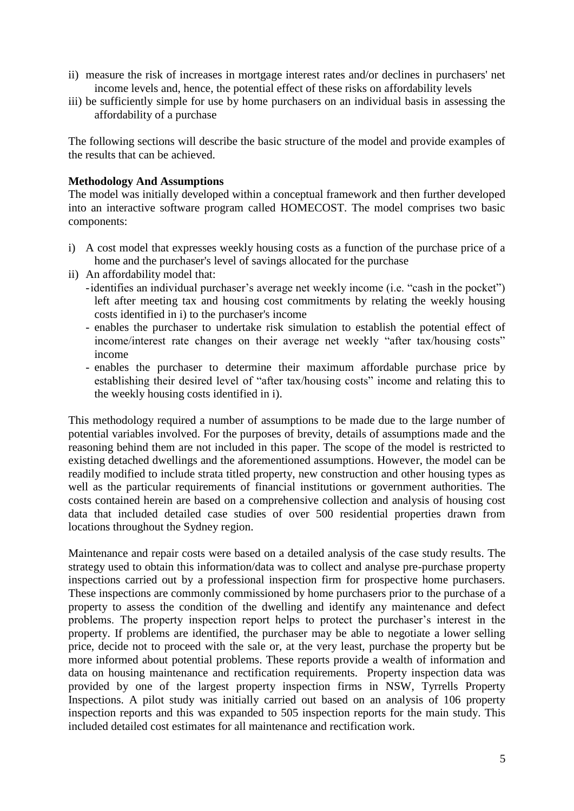- ii) measure the risk of increases in mortgage interest rates and/or declines in purchasers' net income levels and, hence, the potential effect of these risks on affordability levels
- iii) be sufficiently simple for use by home purchasers on an individual basis in assessing the affordability of a purchase

The following sections will describe the basic structure of the model and provide examples of the results that can be achieved.

#### **Methodology And Assumptions**

The model was initially developed within a conceptual framework and then further developed into an interactive software program called HOMECOST. The model comprises two basic components:

- i) A cost model that expresses weekly housing costs as a function of the purchase price of a home and the purchaser's level of savings allocated for the purchase
- ii) An affordability model that:
	- -identifies an individual purchaser's average net weekly income (i.e. "cash in the pocket") left after meeting tax and housing cost commitments by relating the weekly housing costs identified in i) to the purchaser's income
	- enables the purchaser to undertake risk simulation to establish the potential effect of income/interest rate changes on their average net weekly "after tax/housing costs" income
	- enables the purchaser to determine their maximum affordable purchase price by establishing their desired level of "after tax/housing costs" income and relating this to the weekly housing costs identified in i).

This methodology required a number of assumptions to be made due to the large number of potential variables involved. For the purposes of brevity, details of assumptions made and the reasoning behind them are not included in this paper. The scope of the model is restricted to existing detached dwellings and the aforementioned assumptions. However, the model can be readily modified to include strata titled property, new construction and other housing types as well as the particular requirements of financial institutions or government authorities. The costs contained herein are based on a comprehensive collection and analysis of housing cost data that included detailed case studies of over 500 residential properties drawn from locations throughout the Sydney region.

Maintenance and repair costs were based on a detailed analysis of the case study results. The strategy used to obtain this information/data was to collect and analyse pre-purchase property inspections carried out by a professional inspection firm for prospective home purchasers. These inspections are commonly commissioned by home purchasers prior to the purchase of a property to assess the condition of the dwelling and identify any maintenance and defect problems. The property inspection report helps to protect the purchaser's interest in the property. If problems are identified, the purchaser may be able to negotiate a lower selling price, decide not to proceed with the sale or, at the very least, purchase the property but be more informed about potential problems. These reports provide a wealth of information and data on housing maintenance and rectification requirements. Property inspection data was provided by one of the largest property inspection firms in NSW, Tyrrells Property Inspections. A pilot study was initially carried out based on an analysis of 106 property inspection reports and this was expanded to 505 inspection reports for the main study. This included detailed cost estimates for all maintenance and rectification work.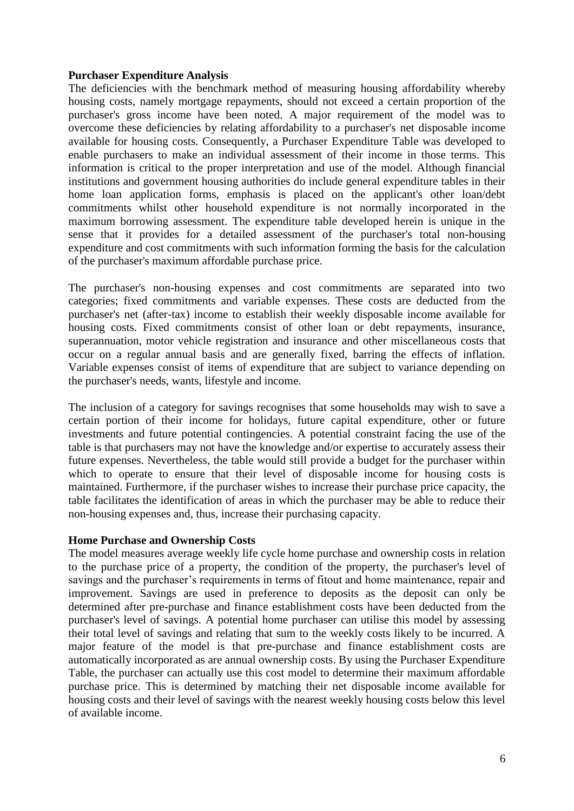#### **Purchaser Expenditure Analysis**

The deficiencies with the benchmark method of measuring housing affordability whereby housing costs, namely mortgage repayments, should not exceed a certain proportion of the purchaser's gross income have been noted. A major requirement of the model was to overcome these deficiencies by relating affordability to a purchaser's net disposable income available for housing costs. Consequently, a Purchaser Expenditure Table was developed to enable purchasers to make an individual assessment of their income in those terms. This information is critical to the proper interpretation and use of the model. Although financial institutions and government housing authorities do include general expenditure tables in their home loan application forms, emphasis is placed on the applicant's other loan/debt commitments whilst other household expenditure is not normally incorporated in the maximum borrowing assessment. The expenditure table developed herein is unique in the sense that it provides for a detailed assessment of the purchaser's total non-housing expenditure and cost commitments with such information forming the basis for the calculation of the purchaser's maximum affordable purchase price.

The purchaser's non-housing expenses and cost commitments are separated into two categories; fixed commitments and variable expenses. These costs are deducted from the purchaser's net (after-tax) income to establish their weekly disposable income available for housing costs. Fixed commitments consist of other loan or debt repayments, insurance, superannuation, motor vehicle registration and insurance and other miscellaneous costs that occur on a regular annual basis and are generally fixed, barring the effects of inflation. Variable expenses consist of items of expenditure that are subject to variance depending on the purchaser's needs, wants, lifestyle and income.

The inclusion of a category for savings recognises that some households may wish to save a certain portion of their income for holidays, future capital expenditure, other or future investments and future potential contingencies. A potential constraint facing the use of the table is that purchasers may not have the knowledge and/or expertise to accurately assess their future expenses. Nevertheless, the table would still provide a budget for the purchaser within which to operate to ensure that their level of disposable income for housing costs is maintained. Furthermore, if the purchaser wishes to increase their purchase price capacity, the table facilitates the identification of areas in which the purchaser may be able to reduce their non-housing expenses and, thus, increase their purchasing capacity.

#### **Home Purchase and Ownership Costs**

The model measures average weekly life cycle home purchase and ownership costs in relation to the purchase price of a property, the condition of the property, the purchaser's level of savings and the purchaser's requirements in terms of fitout and home maintenance, repair and improvement. Savings are used in preference to deposits as the deposit can only be determined after pre-purchase and finance establishment costs have been deducted from the purchaser's level of savings. A potential home purchaser can utilise this model by assessing their total level of savings and relating that sum to the weekly costs likely to be incurred. A major feature of the model is that pre-purchase and finance establishment costs are automatically incorporated as are annual ownership costs. By using the Purchaser Expenditure Table, the purchaser can actually use this cost model to determine their maximum affordable purchase price. This is determined by matching their net disposable income available for housing costs and their level of savings with the nearest weekly housing costs below this level of available income.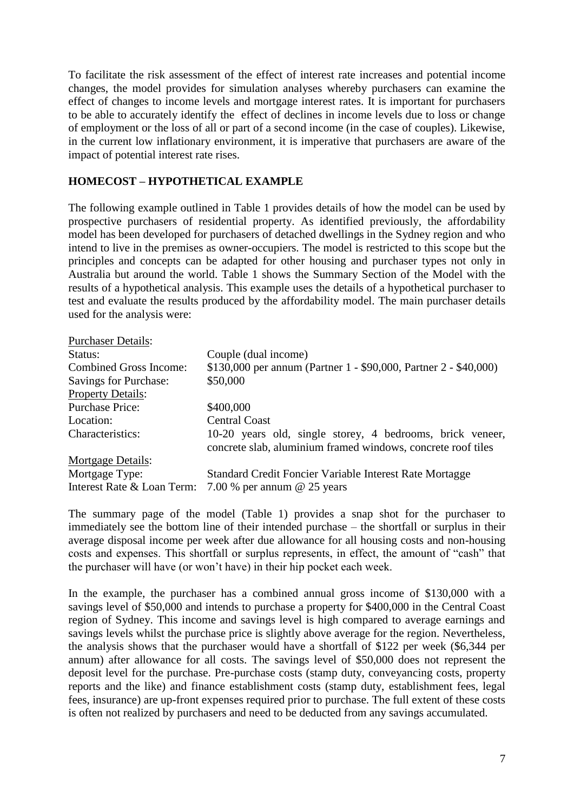To facilitate the risk assessment of the effect of interest rate increases and potential income changes, the model provides for simulation analyses whereby purchasers can examine the effect of changes to income levels and mortgage interest rates. It is important for purchasers to be able to accurately identify the effect of declines in income levels due to loss or change of employment or the loss of all or part of a second income (in the case of couples). Likewise, in the current low inflationary environment, it is imperative that purchasers are aware of the impact of potential interest rate rises.

## **HOMECOST – HYPOTHETICAL EXAMPLE**

The following example outlined in Table 1 provides details of how the model can be used by prospective purchasers of residential property. As identified previously, the affordability model has been developed for purchasers of detached dwellings in the Sydney region and who intend to live in the premises as owner-occupiers. The model is restricted to this scope but the principles and concepts can be adapted for other housing and purchaser types not only in Australia but around the world. Table 1 shows the Summary Section of the Model with the results of a hypothetical analysis. This example uses the details of a hypothetical purchaser to test and evaluate the results produced by the affordability model. The main purchaser details used for the analysis were:

| <b>Purchaser Details:</b>     |                                                                                                                           |
|-------------------------------|---------------------------------------------------------------------------------------------------------------------------|
| Status:                       | Couple (dual income)                                                                                                      |
| <b>Combined Gross Income:</b> | $$130,000$ per annum (Partner 1 - \$90,000, Partner 2 - \$40,000)                                                         |
| <b>Savings for Purchase:</b>  | \$50,000                                                                                                                  |
| <b>Property Details:</b>      |                                                                                                                           |
| <b>Purchase Price:</b>        | \$400,000                                                                                                                 |
| Location:                     | <b>Central Coast</b>                                                                                                      |
| Characteristics:              | 10-20 years old, single storey, 4 bedrooms, brick veneer,<br>concrete slab, aluminium framed windows, concrete roof tiles |
| <b>Mortgage Details:</b>      |                                                                                                                           |
| Mortgage Type:                | Standard Credit Foncier Variable Interest Rate Mortagge                                                                   |
|                               | Interest Rate & Loan Term: 7.00 % per annum @ 25 years                                                                    |

The summary page of the model (Table 1) provides a snap shot for the purchaser to immediately see the bottom line of their intended purchase – the shortfall or surplus in their average disposal income per week after due allowance for all housing costs and non-housing costs and expenses. This shortfall or surplus represents, in effect, the amount of "cash" that the purchaser will have (or won't have) in their hip pocket each week.

In the example, the purchaser has a combined annual gross income of \$130,000 with a savings level of \$50,000 and intends to purchase a property for \$400,000 in the Central Coast region of Sydney. This income and savings level is high compared to average earnings and savings levels whilst the purchase price is slightly above average for the region. Nevertheless, the analysis shows that the purchaser would have a shortfall of \$122 per week (\$6,344 per annum) after allowance for all costs. The savings level of \$50,000 does not represent the deposit level for the purchase. Pre-purchase costs (stamp duty, conveyancing costs, property reports and the like) and finance establishment costs (stamp duty, establishment fees, legal fees, insurance) are up-front expenses required prior to purchase. The full extent of these costs is often not realized by purchasers and need to be deducted from any savings accumulated.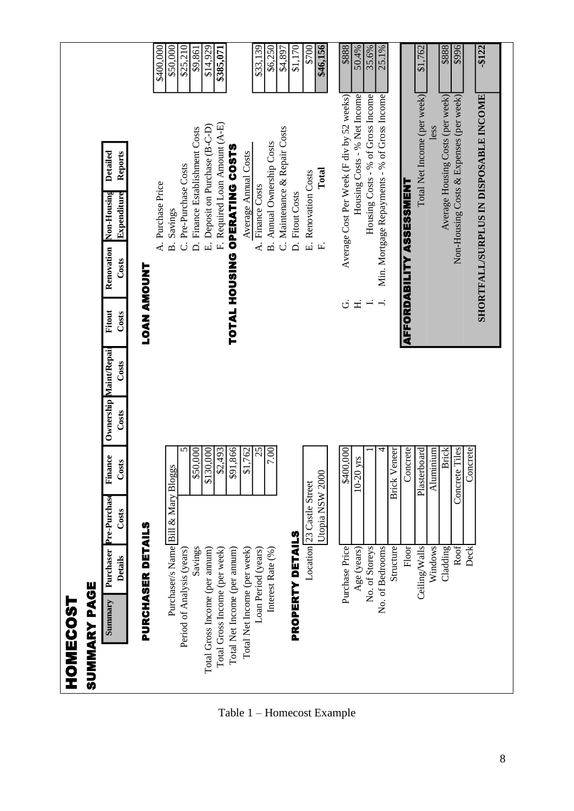| Purchaser<br>Details<br>Summary                                                                 | Finance<br>Costs<br>Pre-Purchas<br>Costs                  | Ownership Maint/Repair<br>Costs<br>Costs | <b>Fitout</b><br>Costs | Renovation<br>Costs              | <b>Detailed</b><br><b>Reports</b><br>Expenditure<br>Non-Housing                                                                                                |                                              |
|-------------------------------------------------------------------------------------------------|-----------------------------------------------------------|------------------------------------------|------------------------|----------------------------------|----------------------------------------------------------------------------------------------------------------------------------------------------------------|----------------------------------------------|
| PURCHASER DETAILS                                                                               |                                                           |                                          |                        | <b>TOAN AMOUNT</b>               |                                                                                                                                                                |                                              |
| Purchaser/s Name Bill & Mary Blogg<br>Savings<br>Period of Analysis (years)                     | 000.0<br>350                                              |                                          |                        | Savings<br>$\dot{m}$             | D. Finance Establishment Costs<br>C. Pre-Purchase Costs<br>A. Purchase Price                                                                                   | \$400.000<br>\$25,210<br>\$50.000<br>\$9.861 |
| Total Net Income (per annum)<br>Total Gross Income (per annum)<br>Total Gross Income (per week) | 2,493<br>,866<br>\$130,000<br>$\mathfrak{B}$<br>168       |                                          |                        | TOTAL HOUSING ONESDOR LATO<br>щi | F. Required Loan Amount (A-E)<br>Deposit on Purchase (B-C-D)                                                                                                   | \$14,929<br>\$385,071                        |
| Total Net Income (per week)<br>Loan Period (years)<br>Interest Rate (%)                         | 7.00<br>25<br>,762<br>5                                   |                                          |                        |                                  | <b>B.</b> Annual Ownership Costs<br>Average Annual Costs<br>A. Finance Costs                                                                                   | \$33,139<br>\$6,250                          |
| PROPERTY DETAILS                                                                                | Utopia NSW 2000<br>Location 23 Castle Street              |                                          |                        | D. Fitout Costs<br>щ             | C. Maintenance & Repair Costs<br>Total<br>E. Renovation Costs                                                                                                  | \$46,156<br>\$1,170<br>\$700<br>\$4.897      |
| No. of Storeys<br>No. of Bedrooms<br>Purchase Price<br>Structure<br>Age (years)                 | \$400,000<br>4<br><b>Brick Veneer</b><br>yrs<br>$10 - 20$ |                                          |                        | $\overline{a}$<br>ق<br>H.        | Housing Costs - % of Gross Income<br>Min. Mortgage Repayments - % of Gross Income<br>Housing Costs - % Net Income<br>Average Cost Per Week (F div by 52 weeks) | \$888<br>50.4%<br>35.6%<br>25.1%             |
| Floor<br>Ceiling/Walls<br>Windows                                                               | Concrete<br>Plasterboard<br>inium<br>Alumi                |                                          |                        | AFFORDABILITY ASSESSMENT         | Total Net Income (per week)<br>less                                                                                                                            | \$1,762                                      |
| Cladding<br>Deck<br>Roof                                                                        | Concrete<br>Tiles<br><b>Brick</b><br>Concrete             |                                          |                        |                                  | Average Housing Costs (per week)<br>SHORTFALL/SURPLUS IN DISPOSABLE INCOME<br>Non-Housing Costs & Expenses (per week)                                          | \$888<br>\$996<br>$-$122$                    |

Table 1 – Homecost Example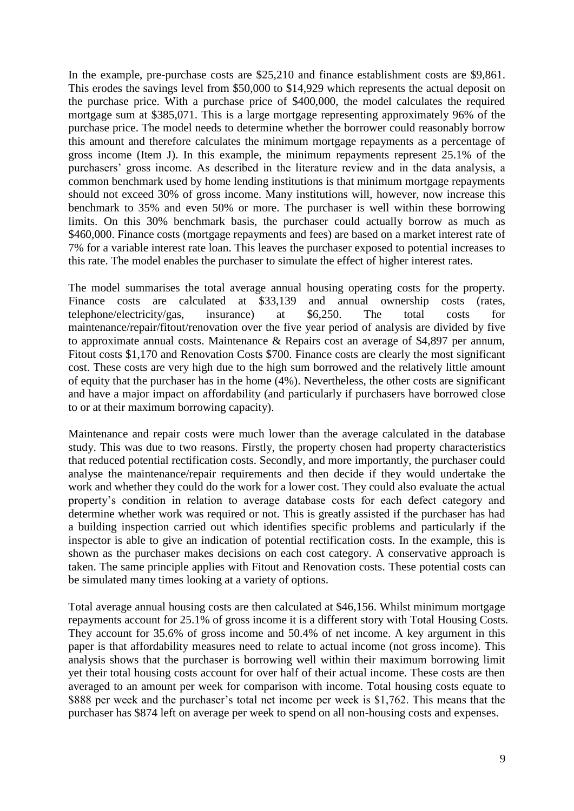In the example, pre-purchase costs are \$25,210 and finance establishment costs are \$9,861. This erodes the savings level from \$50,000 to \$14,929 which represents the actual deposit on the purchase price. With a purchase price of \$400,000, the model calculates the required mortgage sum at \$385,071. This is a large mortgage representing approximately 96% of the purchase price. The model needs to determine whether the borrower could reasonably borrow this amount and therefore calculates the minimum mortgage repayments as a percentage of gross income (Item J). In this example, the minimum repayments represent 25.1% of the purchasers' gross income. As described in the literature review and in the data analysis, a common benchmark used by home lending institutions is that minimum mortgage repayments should not exceed 30% of gross income. Many institutions will, however, now increase this benchmark to 35% and even 50% or more. The purchaser is well within these borrowing limits. On this 30% benchmark basis, the purchaser could actually borrow as much as \$460,000. Finance costs (mortgage repayments and fees) are based on a market interest rate of 7% for a variable interest rate loan. This leaves the purchaser exposed to potential increases to this rate. The model enables the purchaser to simulate the effect of higher interest rates.

The model summarises the total average annual housing operating costs for the property. Finance costs are calculated at \$33,139 and annual ownership costs (rates, telephone/electricity/gas, insurance) at \$6,250. The total costs for maintenance/repair/fitout/renovation over the five year period of analysis are divided by five to approximate annual costs. Maintenance & Repairs cost an average of \$4,897 per annum, Fitout costs \$1,170 and Renovation Costs \$700. Finance costs are clearly the most significant cost. These costs are very high due to the high sum borrowed and the relatively little amount of equity that the purchaser has in the home (4%). Nevertheless, the other costs are significant and have a major impact on affordability (and particularly if purchasers have borrowed close to or at their maximum borrowing capacity).

Maintenance and repair costs were much lower than the average calculated in the database study. This was due to two reasons. Firstly, the property chosen had property characteristics that reduced potential rectification costs. Secondly, and more importantly, the purchaser could analyse the maintenance/repair requirements and then decide if they would undertake the work and whether they could do the work for a lower cost. They could also evaluate the actual property's condition in relation to average database costs for each defect category and determine whether work was required or not. This is greatly assisted if the purchaser has had a building inspection carried out which identifies specific problems and particularly if the inspector is able to give an indication of potential rectification costs. In the example, this is shown as the purchaser makes decisions on each cost category. A conservative approach is taken. The same principle applies with Fitout and Renovation costs. These potential costs can be simulated many times looking at a variety of options.

Total average annual housing costs are then calculated at \$46,156. Whilst minimum mortgage repayments account for 25.1% of gross income it is a different story with Total Housing Costs. They account for 35.6% of gross income and 50.4% of net income. A key argument in this paper is that affordability measures need to relate to actual income (not gross income). This analysis shows that the purchaser is borrowing well within their maximum borrowing limit yet their total housing costs account for over half of their actual income. These costs are then averaged to an amount per week for comparison with income. Total housing costs equate to \$888 per week and the purchaser's total net income per week is \$1,762. This means that the purchaser has \$874 left on average per week to spend on all non-housing costs and expenses.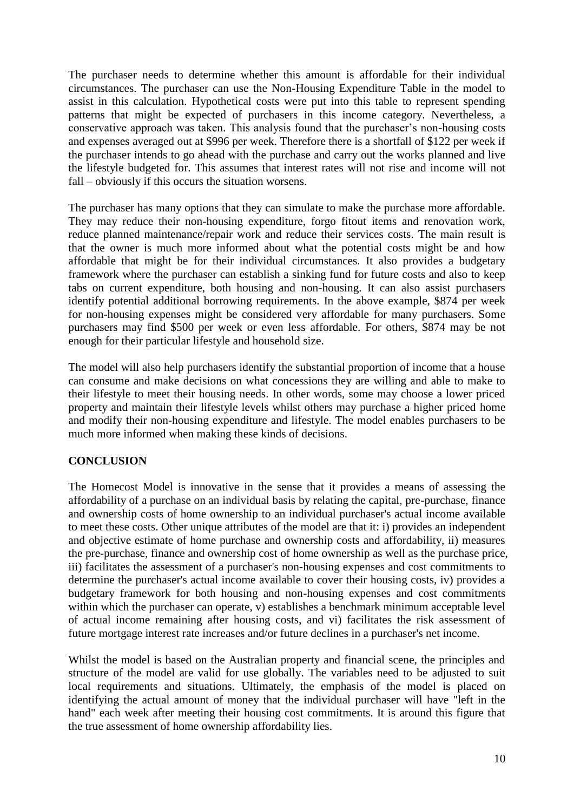The purchaser needs to determine whether this amount is affordable for their individual circumstances. The purchaser can use the Non-Housing Expenditure Table in the model to assist in this calculation. Hypothetical costs were put into this table to represent spending patterns that might be expected of purchasers in this income category. Nevertheless, a conservative approach was taken. This analysis found that the purchaser's non-housing costs and expenses averaged out at \$996 per week. Therefore there is a shortfall of \$122 per week if the purchaser intends to go ahead with the purchase and carry out the works planned and live the lifestyle budgeted for. This assumes that interest rates will not rise and income will not fall – obviously if this occurs the situation worsens.

The purchaser has many options that they can simulate to make the purchase more affordable. They may reduce their non-housing expenditure, forgo fitout items and renovation work, reduce planned maintenance/repair work and reduce their services costs. The main result is that the owner is much more informed about what the potential costs might be and how affordable that might be for their individual circumstances. It also provides a budgetary framework where the purchaser can establish a sinking fund for future costs and also to keep tabs on current expenditure, both housing and non-housing. It can also assist purchasers identify potential additional borrowing requirements. In the above example, \$874 per week for non-housing expenses might be considered very affordable for many purchasers. Some purchasers may find \$500 per week or even less affordable. For others, \$874 may be not enough for their particular lifestyle and household size.

The model will also help purchasers identify the substantial proportion of income that a house can consume and make decisions on what concessions they are willing and able to make to their lifestyle to meet their housing needs. In other words, some may choose a lower priced property and maintain their lifestyle levels whilst others may purchase a higher priced home and modify their non-housing expenditure and lifestyle. The model enables purchasers to be much more informed when making these kinds of decisions.

# **CONCLUSION**

The Homecost Model is innovative in the sense that it provides a means of assessing the affordability of a purchase on an individual basis by relating the capital, pre-purchase, finance and ownership costs of home ownership to an individual purchaser's actual income available to meet these costs. Other unique attributes of the model are that it: i) provides an independent and objective estimate of home purchase and ownership costs and affordability, ii) measures the pre-purchase, finance and ownership cost of home ownership as well as the purchase price, iii) facilitates the assessment of a purchaser's non-housing expenses and cost commitments to determine the purchaser's actual income available to cover their housing costs, iv) provides a budgetary framework for both housing and non-housing expenses and cost commitments within which the purchaser can operate, v) establishes a benchmark minimum acceptable level of actual income remaining after housing costs, and vi) facilitates the risk assessment of future mortgage interest rate increases and/or future declines in a purchaser's net income.

Whilst the model is based on the Australian property and financial scene, the principles and structure of the model are valid for use globally. The variables need to be adjusted to suit local requirements and situations. Ultimately, the emphasis of the model is placed on identifying the actual amount of money that the individual purchaser will have "left in the hand" each week after meeting their housing cost commitments. It is around this figure that the true assessment of home ownership affordability lies.